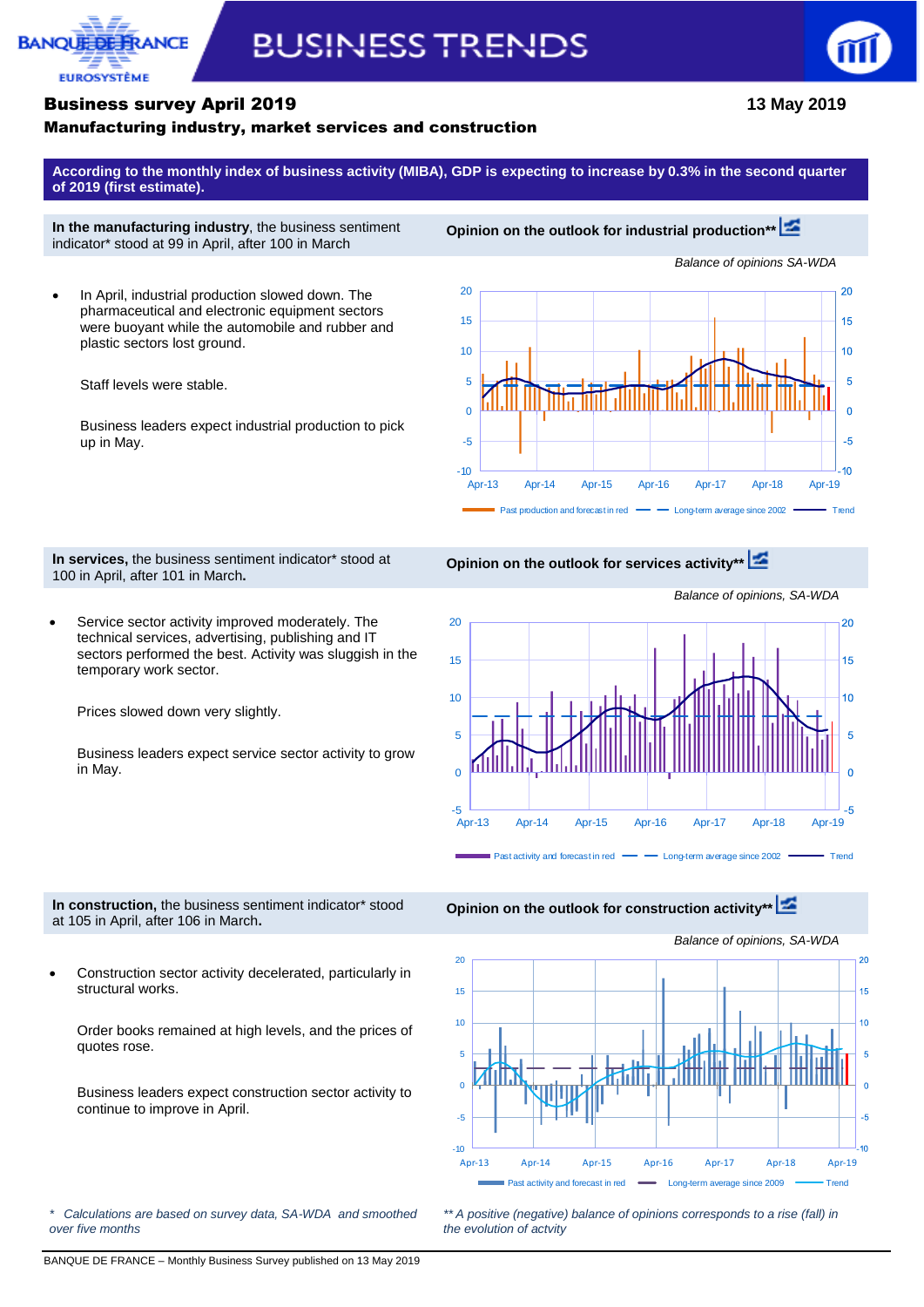

# **BUSINESS TRENDS**



### Business survey April 2019 **13 May 2019**

### Manufacturing industry, market services and construction

**According to the monthly index of business activity (MIBA), GDP is expecting to increase by 0.3% in the second quarter of 2019 (first estimate).**

**In the manufacturing industry**, the business sentiment indicator\* stood at 99 in April, after 100 in March

 In April, industrial production slowed down. The pharmaceutical and electronic equipment sectors were buoyant while the automobile and rubber and plastic sectors lost ground.

Staff levels were stable.

Business leaders expect industrial production to pick up in May.



**In services,** the business sentiment indicator\* stood at 100 in April, after 101 in March**.**

**Opinion on the outlook for services activity\*\***

 Service sector activity improved moderately. The technical services, advertising, publishing and IT sectors performed the best. Activity was sluggish in the temporary work sector.

Prices slowed down very slightly.

Business leaders expect service sector activity to grow in May.



**In construction,** the business sentiment indicator\* stood at 105 in April, after 106 in March**.**

 Construction sector activity decelerated, particularly in structural works.

Order books remained at high levels, and the prices of quotes rose.

Business leaders expect construction sector activity to continue to improve in April.

*\* Calculations are based on survey data, SA-WDA and smoothed over five months*

**Opinion on the outlook for construction activity\*[\\*](http://webstat.banque-france.fr/en/publication/Conj_EMC_graph3_EN)**



*\*\* A positive (negative) balance of opinions corresponds to a rise (fall) in the evolution of actvity*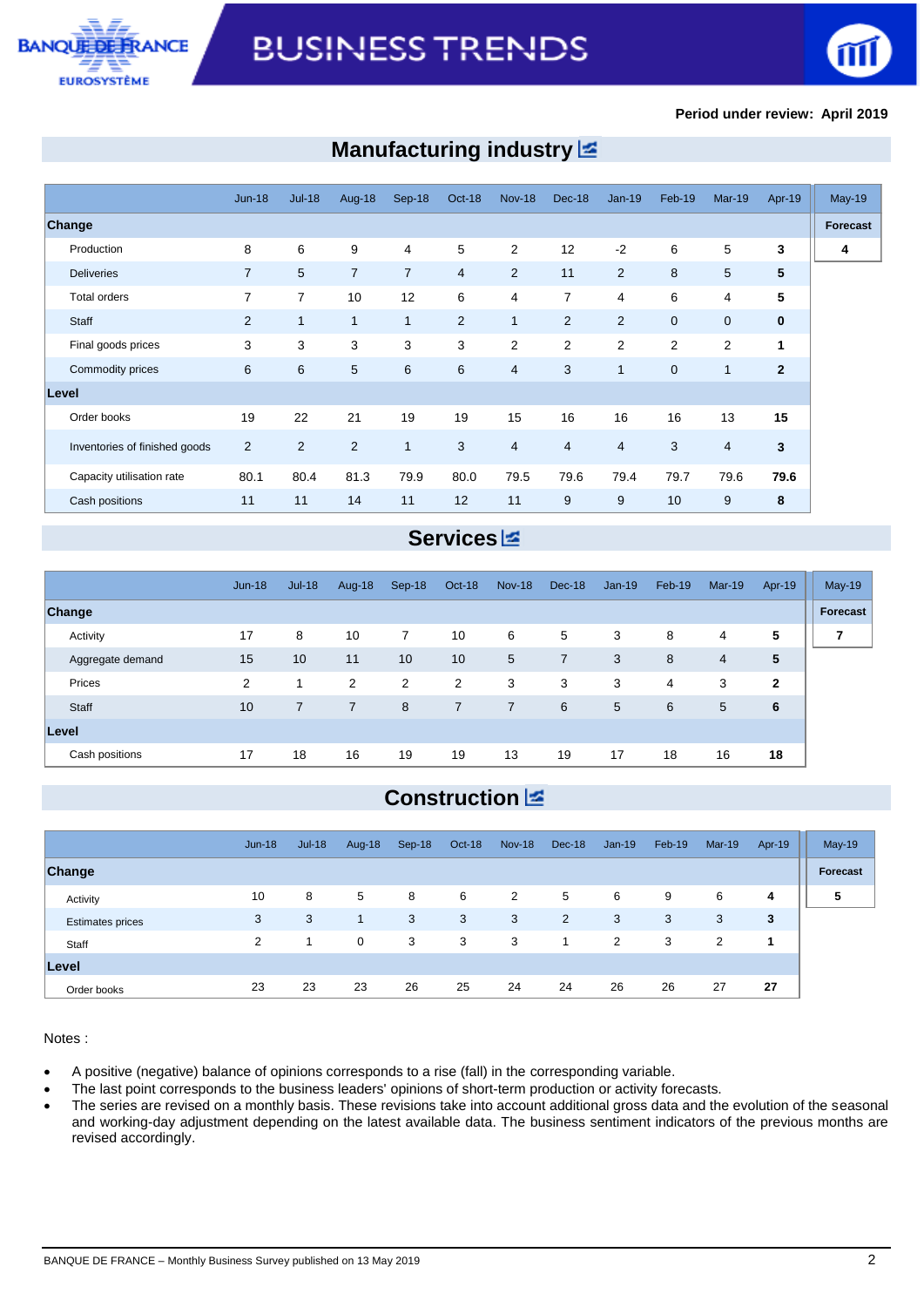



#### **Period under review: April 2019**

## **Manufacturing industry**

|                               | $Jun-18$       | $Jul-18$       | Aug-18         | Sep-18         | Oct-18         | <b>Nov-18</b>  | <b>Dec-18</b>  | $Jan-19$       | Feb-19       | $Mar-19$       | Apr-19         | <b>May-19</b> |
|-------------------------------|----------------|----------------|----------------|----------------|----------------|----------------|----------------|----------------|--------------|----------------|----------------|---------------|
| <b>Change</b>                 |                |                |                |                |                |                |                |                |              |                |                | Forecast      |
| Production                    | 8              | 6              | 9              | 4              | 5              | 2              | 12             | $-2$           | 6            | 5              | 3              | 4             |
| <b>Deliveries</b>             | $\overline{7}$ | 5              | $\overline{7}$ | $\overline{7}$ | $\overline{4}$ | $\overline{2}$ | 11             | 2              | 8            | 5              | 5              |               |
| <b>Total orders</b>           | 7              | 7              | 10             | 12             | 6              | 4              | $\overline{7}$ | 4              | 6            | 4              | 5              |               |
| Staff                         | 2              | $\mathbf{1}$   | $\mathbf{1}$   | $\mathbf{1}$   | 2              | $\mathbf{1}$   | $\overline{2}$ | 2              | $\mathbf{0}$ | $\mathbf{0}$   | $\mathbf{0}$   |               |
| Final goods prices            | 3              | 3              | 3              | 3              | 3              | 2              | $\overline{2}$ | 2              | 2            | $\overline{2}$ | 1              |               |
| Commodity prices              | 6              | 6              | 5              | 6              | 6              | 4              | 3              | $\mathbf{1}$   | $\mathbf 0$  | $\mathbf{1}$   | $\overline{2}$ |               |
| Level                         |                |                |                |                |                |                |                |                |              |                |                |               |
| Order books                   | 19             | 22             | 21             | 19             | 19             | 15             | 16             | 16             | 16           | 13             | 15             |               |
| Inventories of finished goods | $\overline{2}$ | $\overline{2}$ | 2              | $\mathbf{1}$   | 3              | 4              | $\overline{4}$ | $\overline{4}$ | 3            | $\overline{4}$ | 3              |               |
| Capacity utilisation rate     | 80.1           | 80.4           | 81.3           | 79.9           | 80.0           | 79.5           | 79.6           | 79.4           | 79.7         | 79.6           | 79.6           |               |
| Cash positions                | 11             | 11             | 14             | 11             | 12             | 11             | 9              | 9              | 10           | 9              | 8              |               |

# **Services**

|                  | $Jun-18$ | $Jul-18$       | Aug-18         | $Sep-18$ | Oct-18 | <b>Nov-18</b>  | Dec-18         | $Jan-19$ | Feb-19 | $Mar-19$ | Apr-19       | $May-19$ |
|------------------|----------|----------------|----------------|----------|--------|----------------|----------------|----------|--------|----------|--------------|----------|
| Change           |          |                |                |          |        |                |                |          |        |          |              | Forecast |
| Activity         | 17       | 8              | 10             | 7        | 10     | 6              | 5              | 3        | 8      | 4        | 5            | 7        |
| Aggregate demand | 15       | 10             | 11             | 10       | 10     | 5              | $\overline{7}$ | 3        | 8      | 4        | 5            |          |
| Prices           | 2        | 1              | 2              | 2        | 2      | 3              | 3              | 3        | 4      | 3        | $\mathbf{2}$ |          |
| Staff            | 10       | $\overline{7}$ | $\overline{7}$ | 8        | 7      | $\overline{7}$ | 6              | 5        | 6      | 5        | 6            |          |
| Level            |          |                |                |          |        |                |                |          |        |          |              |          |
| Cash positions   | 17       | 18             | 16             | 19       | 19     | 13             | 19             | 17       | 18     | 16       | 18           |          |

# **Construction**

|                         | $Jun-18$ | $Jul-18$ | Aug-18 | Sep-18 | Oct-18 | <b>Nov-18</b>  | Dec-18 | $Jan-19$ | Feb-19 | Mar-19 | Apr-19 | May-19   |
|-------------------------|----------|----------|--------|--------|--------|----------------|--------|----------|--------|--------|--------|----------|
| Change                  |          |          |        |        |        |                |        |          |        |        |        | Forecast |
| Activity                | 10       | 8        | 5      | 8      | 6      | $\overline{2}$ | 5      | 6        | 9      | 6      | 4      | 5        |
| <b>Estimates prices</b> | 3        | 3        | -1     | 3      | 3      | 3              | 2      | 3        | 3      | 3      | 3      |          |
| Staff                   | 2        |          | 0      | 3      | 3      | 3              | 1      | 2        | 3      | 2      |        |          |
| Level                   |          |          |        |        |        |                |        |          |        |        |        |          |
| Order books             | 23       | 23       | 23     | 26     | 25     | 24             | 24     | 26       | 26     | 27     | 27     |          |

Notes :

- A positive (negative) balance of opinions corresponds to a rise (fall) in the corresponding variable.
- The last point corresponds to the business leaders' opinions of short-term production or activity forecasts.
- The series are revised on a monthly basis. These revisions take into account additional gross data and the evolution of the seasonal and working-day adjustment depending on the latest available data. The business sentiment indicators of the previous months are revised accordingly.